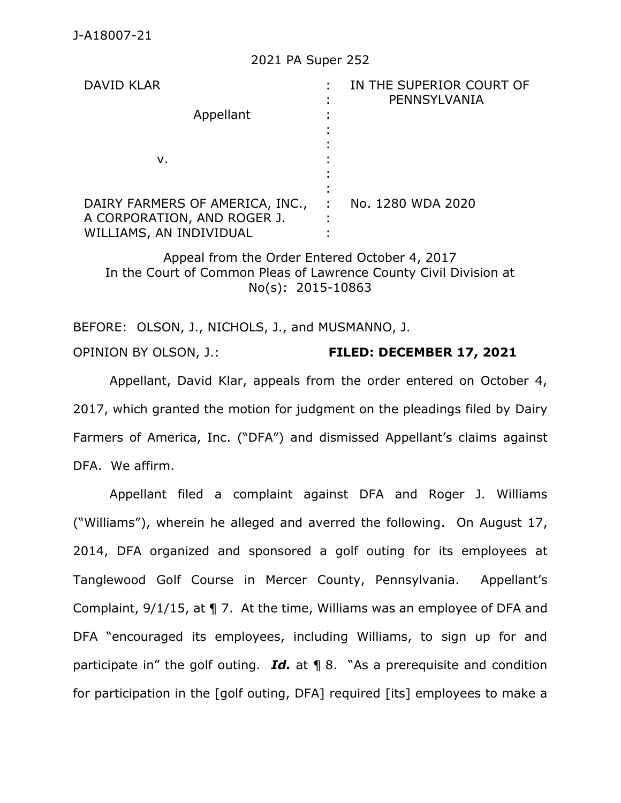## 2021 PA Super 252

| <b>DAVID KLAR</b><br>Appellant<br>ν.                                                      |    | IN THE SUPERIOR COURT OF<br>PENNSYLVANIA |
|-------------------------------------------------------------------------------------------|----|------------------------------------------|
| DAIRY FARMERS OF AMERICA, INC.,<br>A CORPORATION, AND ROGER J.<br>WILLIAMS, AN INDIVIDUAL | ٠. | No. 1280 WDA 2020                        |

Appeal from the Order Entered October 4, 2017 In the Court of Common Pleas of Lawrence County Civil Division at No(s): 2015-10863

BEFORE: OLSON, J., NICHOLS, J., and MUSMANNO, J. OPINION BY OLSON, J.: **FILED: DECEMBER 17, 2021**

Appellant, David Klar, appeals from the order entered on October 4, 2017, which granted the motion for judgment on the pleadings filed by Dairy Farmers of America, Inc. ("DFA") and dismissed Appellant's claims against DFA. We affirm.

Appellant filed a complaint against DFA and Roger J. Williams ("Williams"), wherein he alleged and averred the following. On August 17, 2014, DFA organized and sponsored a golf outing for its employees at Tanglewood Golf Course in Mercer County, Pennsylvania. Appellant's Complaint, 9/1/15, at ¶ 7. At the time, Williams was an employee of DFA and DFA "encouraged its employees, including Williams, to sign up for and participate in" the golf outing. *Id.* at ¶ 8. "As a prerequisite and condition for participation in the [golf outing, DFA] required [its] employees to make a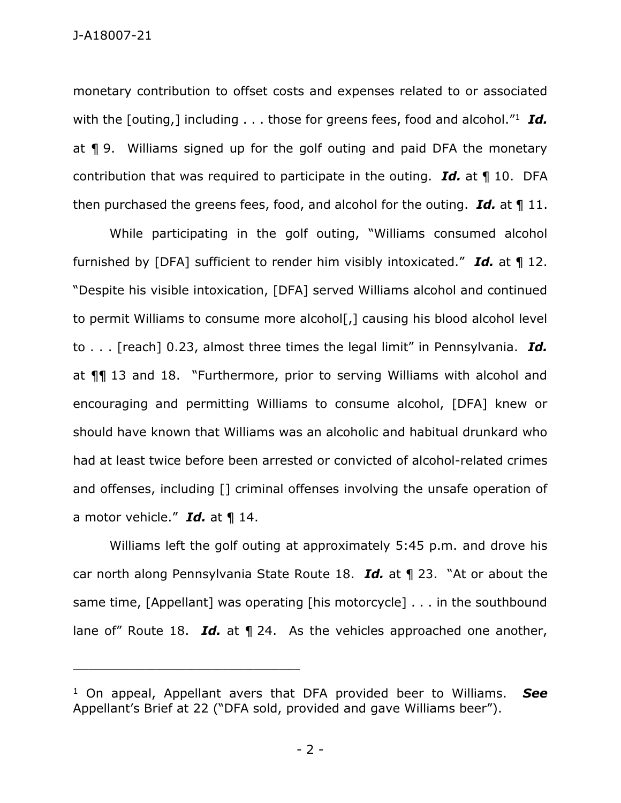monetary contribution to offset costs and expenses related to or associated with the [outing,] including . . . those for greens fees, food and alcohol."<sup>1</sup> *Id.* at ¶ 9. Williams signed up for the golf outing and paid DFA the monetary contribution that was required to participate in the outing. *Id.* at ¶ 10. DFA then purchased the greens fees, food, and alcohol for the outing. *Id.* at ¶ 11.

While participating in the golf outing, "Williams consumed alcohol furnished by [DFA] sufficient to render him visibly intoxicated." *Id.* at ¶ 12. "Despite his visible intoxication, [DFA] served Williams alcohol and continued to permit Williams to consume more alcohol[,] causing his blood alcohol level to . . . [reach] 0.23, almost three times the legal limit" in Pennsylvania. *Id.* at ¶¶ 13 and 18. "Furthermore, prior to serving Williams with alcohol and encouraging and permitting Williams to consume alcohol, [DFA] knew or should have known that Williams was an alcoholic and habitual drunkard who had at least twice before been arrested or convicted of alcohol-related crimes and offenses, including [] criminal offenses involving the unsafe operation of a motor vehicle." *Id.* at ¶ 14.

Williams left the golf outing at approximately 5:45 p.m. and drove his car north along Pennsylvania State Route 18. *Id.* at ¶ 23. "At or about the same time, [Appellant] was operating [his motorcycle] . . . in the southbound lane of" Route 18. *Id.* at 1 24. As the vehicles approached one another,

\_\_\_\_\_\_\_\_\_\_\_\_\_\_\_\_\_\_\_\_\_\_\_\_\_\_\_\_\_\_\_\_\_\_\_\_\_\_\_\_\_\_\_\_

<sup>1</sup> On appeal, Appellant avers that DFA provided beer to Williams. *See* Appellant's Brief at 22 ("DFA sold, provided and gave Williams beer").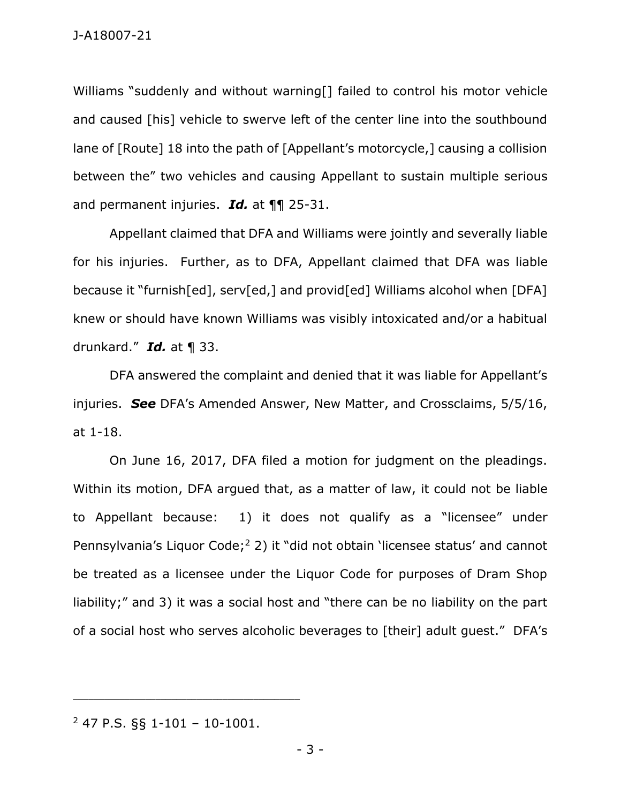Williams "suddenly and without warning[] failed to control his motor vehicle and caused [his] vehicle to swerve left of the center line into the southbound lane of [Route] 18 into the path of [Appellant's motorcycle,] causing a collision between the" two vehicles and causing Appellant to sustain multiple serious and permanent injuries. *Id.* at ¶¶ 25-31.

Appellant claimed that DFA and Williams were jointly and severally liable for his injuries. Further, as to DFA, Appellant claimed that DFA was liable because it "furnish[ed], serv[ed,] and provid[ed] Williams alcohol when [DFA] knew or should have known Williams was visibly intoxicated and/or a habitual drunkard." *Id.* at ¶ 33.

DFA answered the complaint and denied that it was liable for Appellant's injuries. *See* DFA's Amended Answer, New Matter, and Crossclaims, 5/5/16, at 1-18.

On June 16, 2017, DFA filed a motion for judgment on the pleadings. Within its motion, DFA argued that, as a matter of law, it could not be liable to Appellant because: 1) it does not qualify as a "licensee" under Pennsylvania's Liquor Code;<sup>2</sup> 2) it "did not obtain 'licensee status' and cannot be treated as a licensee under the Liquor Code for purposes of Dram Shop liability;" and 3) it was a social host and "there can be no liability on the part of a social host who serves alcoholic beverages to [their] adult guest." DFA's

<sup>2</sup> 47 P.S. §§ 1-101 – 10-1001.

\_\_\_\_\_\_\_\_\_\_\_\_\_\_\_\_\_\_\_\_\_\_\_\_\_\_\_\_\_\_\_\_\_\_\_\_\_\_\_\_\_\_\_\_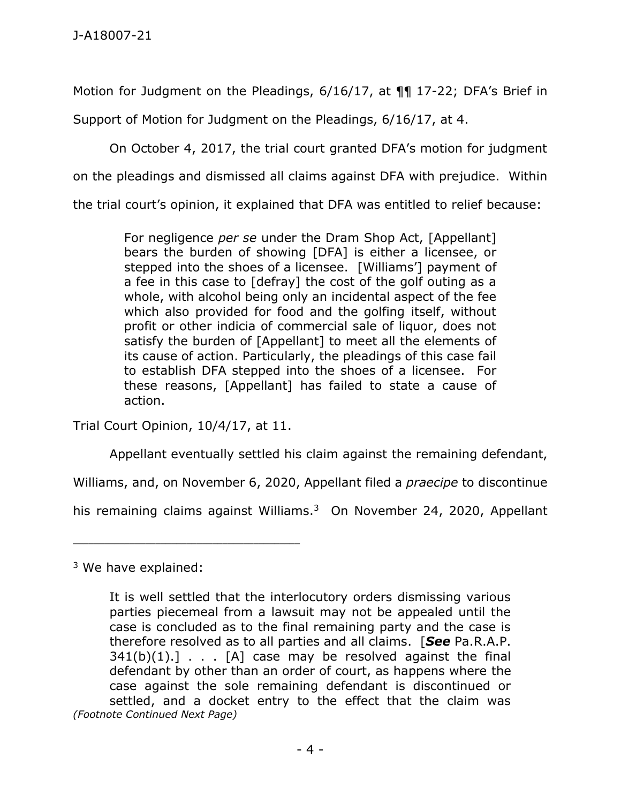Motion for Judgment on the Pleadings, 6/16/17, at ¶¶ 17-22; DFA's Brief in

Support of Motion for Judgment on the Pleadings, 6/16/17, at 4.

On October 4, 2017, the trial court granted DFA's motion for judgment on the pleadings and dismissed all claims against DFA with prejudice. Within

the trial court's opinion, it explained that DFA was entitled to relief because:

For negligence *per se* under the Dram Shop Act, [Appellant] bears the burden of showing [DFA] is either a licensee, or stepped into the shoes of a licensee. [Williams'] payment of a fee in this case to [defray] the cost of the golf outing as a whole, with alcohol being only an incidental aspect of the fee which also provided for food and the golfing itself, without profit or other indicia of commercial sale of liquor, does not satisfy the burden of [Appellant] to meet all the elements of its cause of action. Particularly, the pleadings of this case fail to establish DFA stepped into the shoes of a licensee. For these reasons, [Appellant] has failed to state a cause of action.

Trial Court Opinion, 10/4/17, at 11.

\_\_\_\_\_\_\_\_\_\_\_\_\_\_\_\_\_\_\_\_\_\_\_\_\_\_\_\_\_\_\_\_\_\_\_\_\_\_\_\_\_\_\_\_

Appellant eventually settled his claim against the remaining defendant,

Williams, and, on November 6, 2020, Appellant filed a *praecipe* to discontinue

his remaining claims against Williams.<sup>3</sup> On November 24, 2020, Appellant

<sup>3</sup> We have explained:

It is well settled that the interlocutory orders dismissing various parties piecemeal from a lawsuit may not be appealed until the case is concluded as to the final remaining party and the case is therefore resolved as to all parties and all claims. [*See* Pa.R.A.P.  $341(b)(1).$ ]  $\ldots$  [A] case may be resolved against the final defendant by other than an order of court, as happens where the case against the sole remaining defendant is discontinued or settled, and a docket entry to the effect that the claim was *(Footnote Continued Next Page)*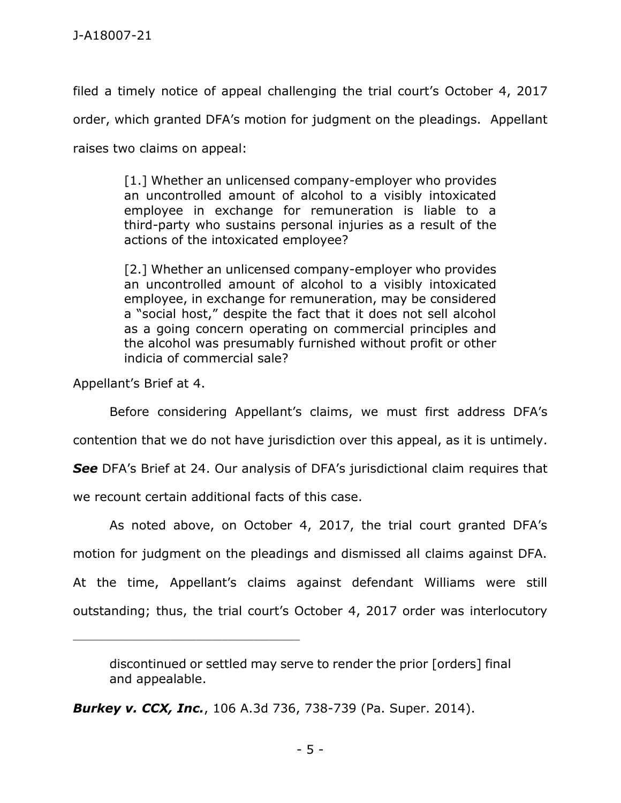filed a timely notice of appeal challenging the trial court's October 4, 2017 order, which granted DFA's motion for judgment on the pleadings. Appellant raises two claims on appeal:

> [1.] Whether an unlicensed company-employer who provides an uncontrolled amount of alcohol to a visibly intoxicated employee in exchange for remuneration is liable to a third-party who sustains personal injuries as a result of the actions of the intoxicated employee?

> [2.] Whether an unlicensed company-employer who provides an uncontrolled amount of alcohol to a visibly intoxicated employee, in exchange for remuneration, may be considered a "social host," despite the fact that it does not sell alcohol as a going concern operating on commercial principles and the alcohol was presumably furnished without profit or other indicia of commercial sale?

Appellant's Brief at 4.

Before considering Appellant's claims, we must first address DFA's

contention that we do not have jurisdiction over this appeal, as it is untimely.

*See* DFA's Brief at 24. Our analysis of DFA's jurisdictional claim requires that

we recount certain additional facts of this case.

\_\_\_\_\_\_\_\_\_\_\_\_\_\_\_\_\_\_\_\_\_\_\_\_\_\_\_\_\_\_\_\_\_\_\_\_\_\_\_\_\_\_\_\_

As noted above, on October 4, 2017, the trial court granted DFA's motion for judgment on the pleadings and dismissed all claims against DFA. At the time, Appellant's claims against defendant Williams were still outstanding; thus, the trial court's October 4, 2017 order was interlocutory

*Burkey v. CCX, Inc.*, 106 A.3d 736, 738-739 (Pa. Super. 2014).

discontinued or settled may serve to render the prior [orders] final and appealable.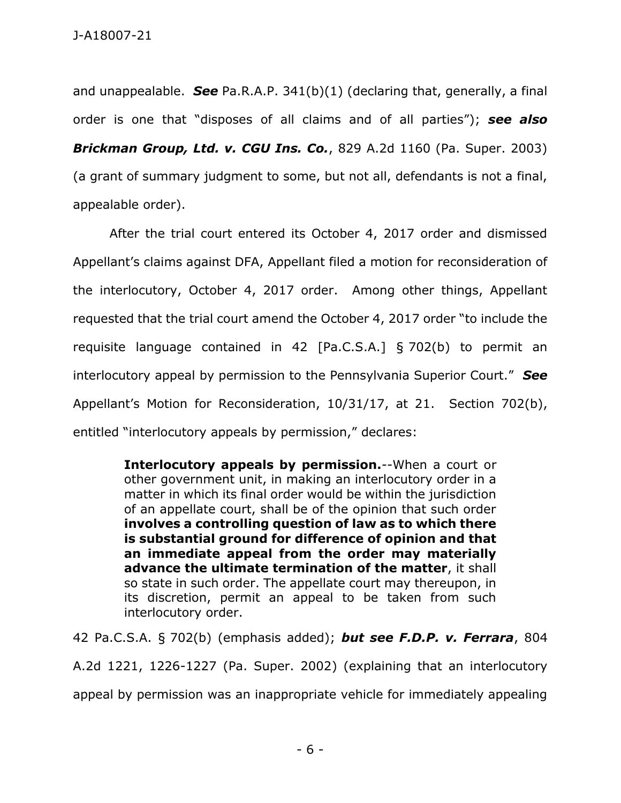and unappealable. *See* Pa.R.A.P. 341(b)(1) (declaring that, generally, a final order is one that "disposes of all claims and of all parties"); *see also Brickman Group, Ltd. v. CGU Ins. Co.*, 829 A.2d 1160 (Pa. Super. 2003) (a grant of summary judgment to some, but not all, defendants is not a final, appealable order).

After the trial court entered its October 4, 2017 order and dismissed Appellant's claims against DFA, Appellant filed a motion for reconsideration of the interlocutory, October 4, 2017 order. Among other things, Appellant requested that the trial court amend the October 4, 2017 order "to include the requisite language contained in 42 [Pa.C.S.A.] § 702(b) to permit an interlocutory appeal by permission to the Pennsylvania Superior Court." *See* Appellant's Motion for Reconsideration, 10/31/17, at 21. Section 702(b), entitled "interlocutory appeals by permission," declares:

> **Interlocutory appeals by permission.**--When a court or other government unit, in making an interlocutory order in a matter in which its final order would be within the jurisdiction of an appellate court, shall be of the opinion that such order **involves a controlling question of law as to which there is substantial ground for difference of opinion and that an immediate appeal from the order may materially advance the ultimate termination of the matter**, it shall so state in such order. The appellate court may thereupon, in its discretion, permit an appeal to be taken from such interlocutory order.

42 Pa.C.S.A. § 702(b) (emphasis added); *but see F.D.P. v. Ferrara*, 804 A.2d 1221, 1226-1227 (Pa. Super. 2002) (explaining that an interlocutory

appeal by permission was an inappropriate vehicle for immediately appealing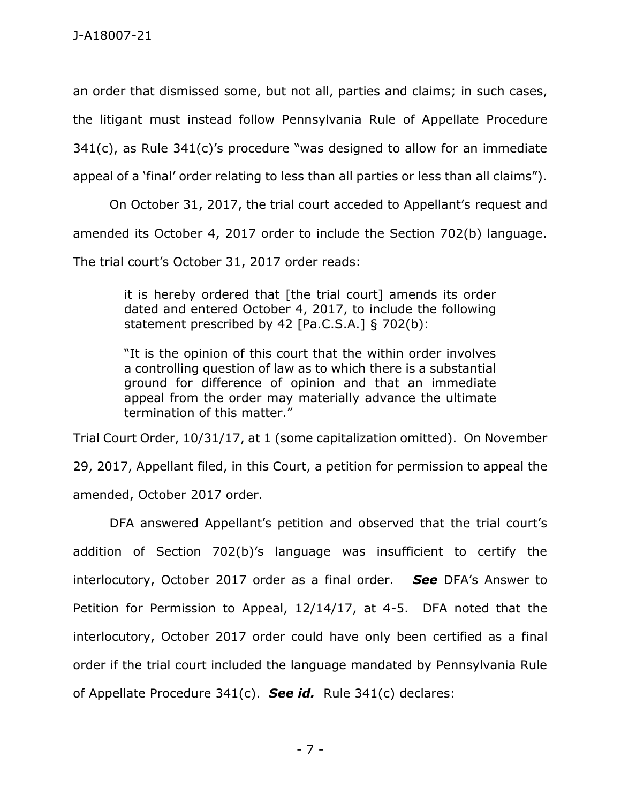an order that dismissed some, but not all, parties and claims; in such cases, the litigant must instead follow Pennsylvania Rule of Appellate Procedure 341(c), as Rule 341(c)'s procedure "was designed to allow for an immediate appeal of a 'final' order relating to less than all parties or less than all claims").

On October 31, 2017, the trial court acceded to Appellant's request and amended its October 4, 2017 order to include the Section 702(b) language. The trial court's October 31, 2017 order reads:

it is hereby ordered that [the trial court] amends its order dated and entered October 4, 2017, to include the following statement prescribed by 42 [Pa.C.S.A.] § 702(b):

"It is the opinion of this court that the within order involves a controlling question of law as to which there is a substantial ground for difference of opinion and that an immediate appeal from the order may materially advance the ultimate termination of this matter."

Trial Court Order, 10/31/17, at 1 (some capitalization omitted). On November

29, 2017, Appellant filed, in this Court, a petition for permission to appeal the amended, October 2017 order.

DFA answered Appellant's petition and observed that the trial court's addition of Section 702(b)'s language was insufficient to certify the interlocutory, October 2017 order as a final order. *See* DFA's Answer to Petition for Permission to Appeal, 12/14/17, at 4-5. DFA noted that the interlocutory, October 2017 order could have only been certified as a final order if the trial court included the language mandated by Pennsylvania Rule of Appellate Procedure 341(c). *See id.* Rule 341(c) declares: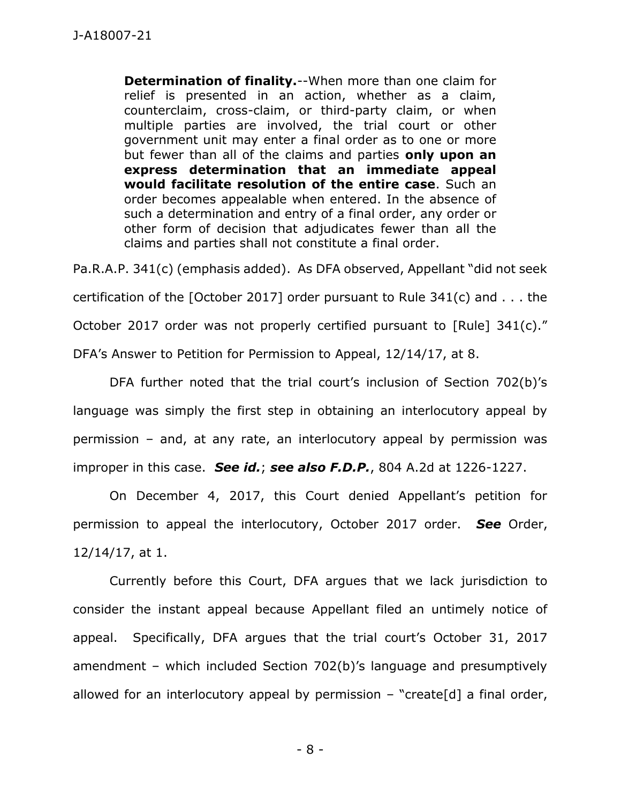**Determination of finality.**--When more than one claim for relief is presented in an action, whether as a claim, counterclaim, cross-claim, or third-party claim, or when multiple parties are involved, the trial court or other government unit may enter a final order as to one or more but fewer than all of the claims and parties **only upon an express determination that an immediate appeal would facilitate resolution of the entire case**. Such an order becomes appealable when entered. In the absence of such a determination and entry of a final order, any order or other form of decision that adjudicates fewer than all the claims and parties shall not constitute a final order.

Pa.R.A.P. 341(c) (emphasis added). As DFA observed, Appellant "did not seek certification of the [October 2017] order pursuant to Rule 341(c) and . . . the October 2017 order was not properly certified pursuant to [Rule] 341(c)." DFA's Answer to Petition for Permission to Appeal, 12/14/17, at 8.

DFA further noted that the trial court's inclusion of Section 702(b)'s language was simply the first step in obtaining an interlocutory appeal by permission – and, at any rate, an interlocutory appeal by permission was improper in this case. *See id.*; *see also F.D.P.*, 804 A.2d at 1226-1227.

On December 4, 2017, this Court denied Appellant's petition for permission to appeal the interlocutory, October 2017 order. *See* Order, 12/14/17, at 1.

Currently before this Court, DFA argues that we lack jurisdiction to consider the instant appeal because Appellant filed an untimely notice of appeal. Specifically, DFA argues that the trial court's October 31, 2017 amendment – which included Section 702(b)'s language and presumptively allowed for an interlocutory appeal by permission  $-$  "create[d] a final order,

- 8 -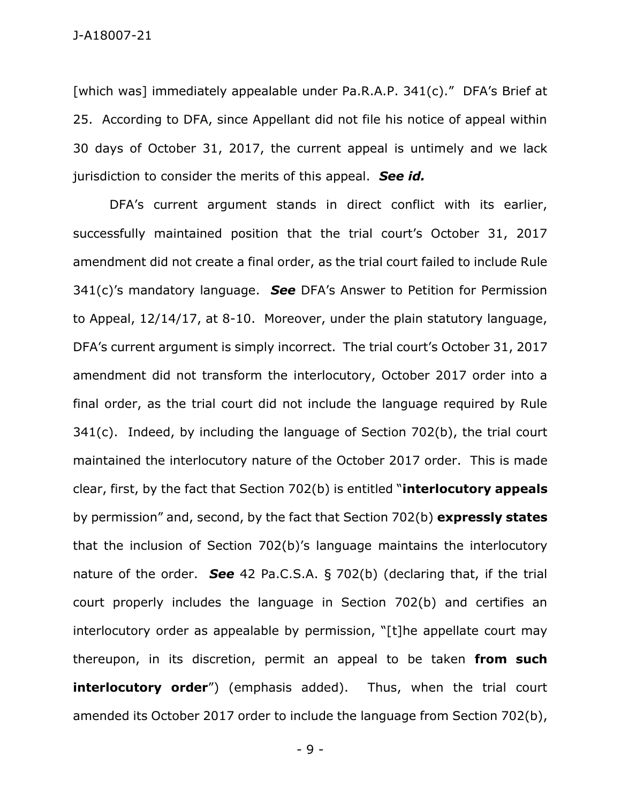[which was] immediately appealable under Pa.R.A.P. 341(c)." DFA's Brief at 25. According to DFA, since Appellant did not file his notice of appeal within 30 days of October 31, 2017, the current appeal is untimely and we lack jurisdiction to consider the merits of this appeal. *See id.*

DFA's current argument stands in direct conflict with its earlier, successfully maintained position that the trial court's October 31, 2017 amendment did not create a final order, as the trial court failed to include Rule 341(c)'s mandatory language. *See* DFA's Answer to Petition for Permission to Appeal, 12/14/17, at 8-10. Moreover, under the plain statutory language, DFA's current argument is simply incorrect. The trial court's October 31, 2017 amendment did not transform the interlocutory, October 2017 order into a final order, as the trial court did not include the language required by Rule 341(c). Indeed, by including the language of Section 702(b), the trial court maintained the interlocutory nature of the October 2017 order. This is made clear, first, by the fact that Section 702(b) is entitled "**interlocutory appeals** by permission" and, second, by the fact that Section 702(b) **expressly states** that the inclusion of Section 702(b)'s language maintains the interlocutory nature of the order. *See* 42 Pa.C.S.A. § 702(b) (declaring that, if the trial court properly includes the language in Section 702(b) and certifies an interlocutory order as appealable by permission, "[t]he appellate court may thereupon, in its discretion, permit an appeal to be taken **from such interlocutory order**") (emphasis added). Thus, when the trial court amended its October 2017 order to include the language from Section 702(b),

- 9 -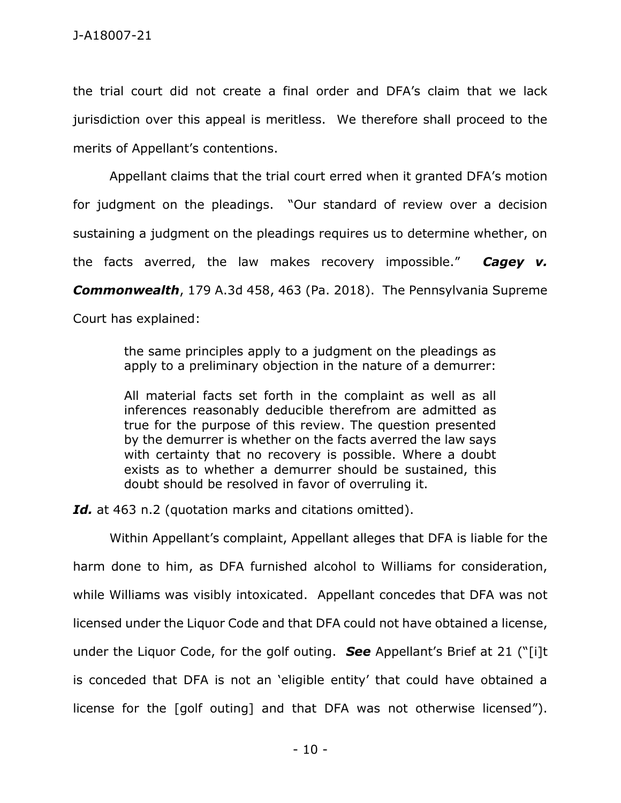the trial court did not create a final order and DFA's claim that we lack jurisdiction over this appeal is meritless. We therefore shall proceed to the merits of Appellant's contentions.

Appellant claims that the trial court erred when it granted DFA's motion for judgment on the pleadings. "Our standard of review over a decision sustaining a judgment on the pleadings requires us to determine whether, on the facts averred, the law makes recovery impossible." *Cagey v. Commonwealth*, 179 A.3d 458, 463 (Pa. 2018). The Pennsylvania Supreme Court has explained:

> the same principles apply to a judgment on the pleadings as apply to a preliminary objection in the nature of a demurrer:

> All material facts set forth in the complaint as well as all inferences reasonably deducible therefrom are admitted as true for the purpose of this review. The question presented by the demurrer is whether on the facts averred the law says with certainty that no recovery is possible. Where a doubt exists as to whether a demurrer should be sustained, this doubt should be resolved in favor of overruling it.

*Id.* at 463 n.2 (quotation marks and citations omitted).

Within Appellant's complaint, Appellant alleges that DFA is liable for the harm done to him, as DFA furnished alcohol to Williams for consideration, while Williams was visibly intoxicated. Appellant concedes that DFA was not licensed under the Liquor Code and that DFA could not have obtained a license, under the Liquor Code, for the golf outing. *See* Appellant's Brief at 21 ("[i]t is conceded that DFA is not an 'eligible entity' that could have obtained a license for the [golf outing] and that DFA was not otherwise licensed").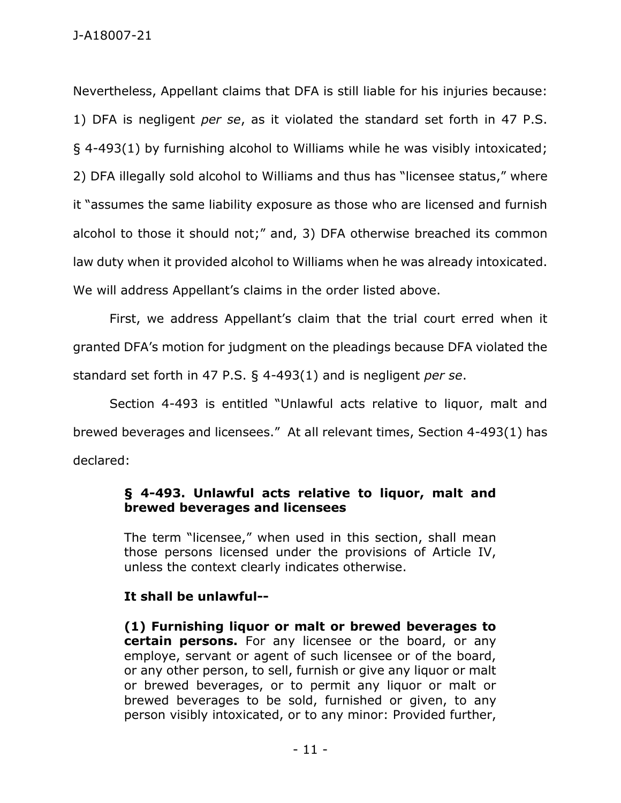## J-A18007-21

Nevertheless, Appellant claims that DFA is still liable for his injuries because: 1) DFA is negligent *per se*, as it violated the standard set forth in 47 P.S. § 4-493(1) by furnishing alcohol to Williams while he was visibly intoxicated; 2) DFA illegally sold alcohol to Williams and thus has "licensee status," where it "assumes the same liability exposure as those who are licensed and furnish alcohol to those it should not;" and, 3) DFA otherwise breached its common law duty when it provided alcohol to Williams when he was already intoxicated. We will address Appellant's claims in the order listed above.

First, we address Appellant's claim that the trial court erred when it granted DFA's motion for judgment on the pleadings because DFA violated the standard set forth in 47 P.S. § 4-493(1) and is negligent *per se*.

Section 4-493 is entitled "Unlawful acts relative to liquor, malt and brewed beverages and licensees." At all relevant times, Section 4-493(1) has declared:

## **§ 4-493. Unlawful acts relative to liquor, malt and brewed beverages and licensees**

The term "licensee," when used in this section, shall mean those persons licensed under the provisions of Article IV, unless the context clearly indicates otherwise.

## **It shall be unlawful--**

**(1) Furnishing liquor or malt or brewed beverages to certain persons.** For any licensee or the board, or any employe, servant or agent of such licensee or of the board, or any other person, to sell, furnish or give any liquor or malt or brewed beverages, or to permit any liquor or malt or brewed beverages to be sold, furnished or given, to any person visibly intoxicated, or to any minor: Provided further,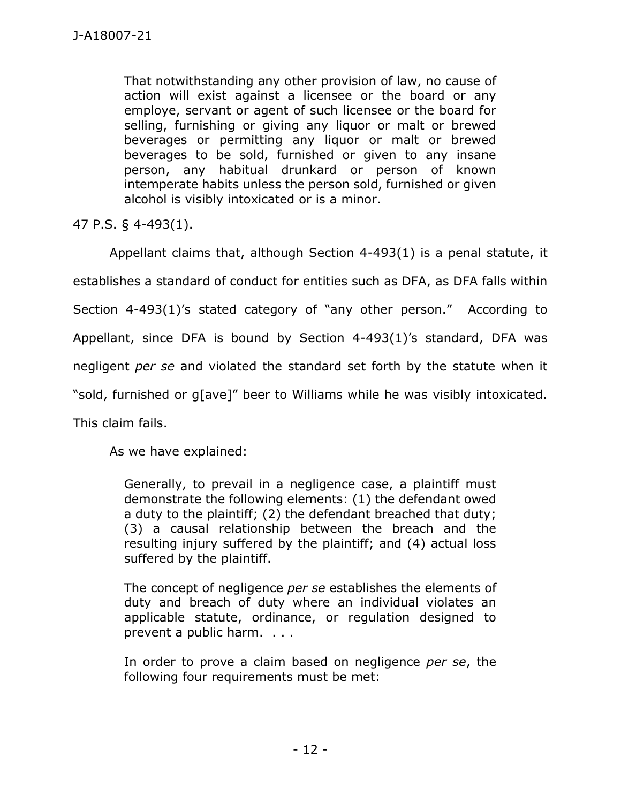That notwithstanding any other provision of law, no cause of action will exist against a licensee or the board or any employe, servant or agent of such licensee or the board for selling, furnishing or giving any liquor or malt or brewed beverages or permitting any liquor or malt or brewed beverages to be sold, furnished or given to any insane person, any habitual drunkard or person of known intemperate habits unless the person sold, furnished or given alcohol is visibly intoxicated or is a minor.

47 P.S. § 4-493(1).

Appellant claims that, although Section 4-493(1) is a penal statute, it establishes a standard of conduct for entities such as DFA, as DFA falls within Section 4-493(1)'s stated category of "any other person." According to Appellant, since DFA is bound by Section 4-493(1)'s standard, DFA was negligent *per se* and violated the standard set forth by the statute when it "sold, furnished or g[ave]" beer to Williams while he was visibly intoxicated. This claim fails.

As we have explained:

Generally, to prevail in a negligence case, a plaintiff must demonstrate the following elements: (1) the defendant owed a duty to the plaintiff; (2) the defendant breached that duty; (3) a causal relationship between the breach and the resulting injury suffered by the plaintiff; and (4) actual loss suffered by the plaintiff.

The concept of negligence *per se* establishes the elements of duty and breach of duty where an individual violates an applicable statute, ordinance, or regulation designed to prevent a public harm. . . .

In order to prove a claim based on negligence *per se*, the following four requirements must be met: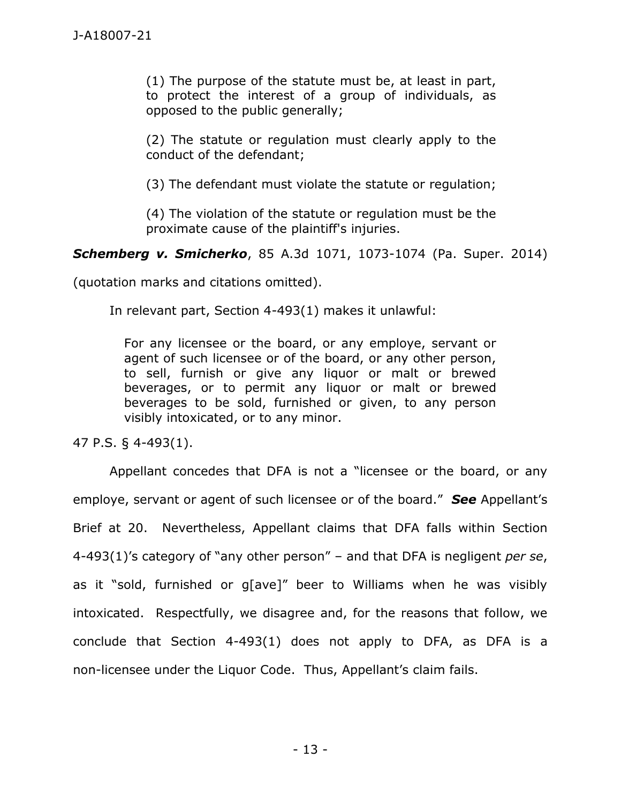(1) The purpose of the statute must be, at least in part, to protect the interest of a group of individuals, as opposed to the public generally;

(2) The statute or regulation must clearly apply to the conduct of the defendant;

(3) The defendant must violate the statute or regulation;

(4) The violation of the statute or regulation must be the proximate cause of the plaintiff's injuries.

*Schemberg v. Smicherko*, 85 A.3d 1071, 1073-1074 (Pa. Super. 2014)

(quotation marks and citations omitted).

In relevant part, Section 4-493(1) makes it unlawful:

For any licensee or the board, or any employe, servant or agent of such licensee or of the board, or any other person, to sell, furnish or give any liquor or malt or brewed beverages, or to permit any liquor or malt or brewed beverages to be sold, furnished or given, to any person visibly intoxicated, or to any minor.

47 P.S. § 4-493(1).

Appellant concedes that DFA is not a "licensee or the board, or any employe, servant or agent of such licensee or of the board." *See* Appellant's Brief at 20. Nevertheless, Appellant claims that DFA falls within Section 4-493(1)'s category of "any other person" – and that DFA is negligent *per se*, as it "sold, furnished or g[ave]" beer to Williams when he was visibly intoxicated. Respectfully, we disagree and, for the reasons that follow, we conclude that Section 4-493(1) does not apply to DFA, as DFA is a non-licensee under the Liquor Code. Thus, Appellant's claim fails.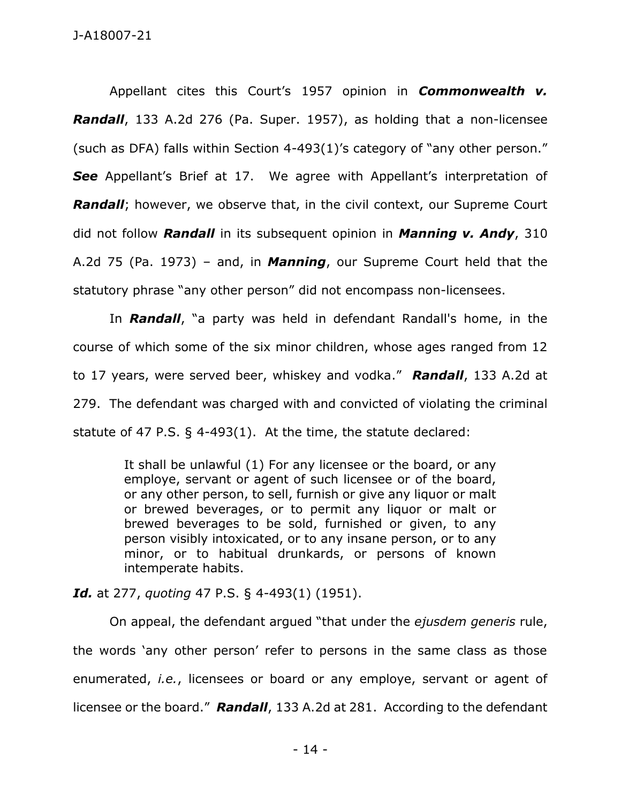Appellant cites this Court's 1957 opinion in *Commonwealth v. Randall*, 133 A.2d 276 (Pa. Super. 1957), as holding that a non-licensee (such as DFA) falls within Section 4-493(1)'s category of "any other person." **See** Appellant's Brief at 17. We agree with Appellant's interpretation of **Randall**; however, we observe that, in the civil context, our Supreme Court did not follow *Randall* in its subsequent opinion in *Manning v. Andy*, 310 A.2d 75 (Pa. 1973) – and, in *Manning*, our Supreme Court held that the statutory phrase "any other person" did not encompass non-licensees.

In *Randall*, "a party was held in defendant Randall's home, in the course of which some of the six minor children, whose ages ranged from 12 to 17 years, were served beer, whiskey and vodka." *Randall*, 133 A.2d at 279. The defendant was charged with and convicted of violating the criminal statute of 47 P.S. § 4-493(1). At the time, the statute declared:

> It shall be unlawful (1) For any licensee or the board, or any employe, servant or agent of such licensee or of the board, or any other person, to sell, furnish or give any liquor or malt or brewed beverages, or to permit any liquor or malt or brewed beverages to be sold, furnished or given, to any person visibly intoxicated, or to any insane person, or to any minor, or to habitual drunkards, or persons of known intemperate habits.

*Id.* at 277, *quoting* 47 P.S. § 4-493(1) (1951).

On appeal, the defendant argued "that under the *ejusdem generis* rule, the words 'any other person' refer to persons in the same class as those enumerated, *i.e.*, licensees or board or any employe, servant or agent of licensee or the board." *Randall*, 133 A.2d at 281. According to the defendant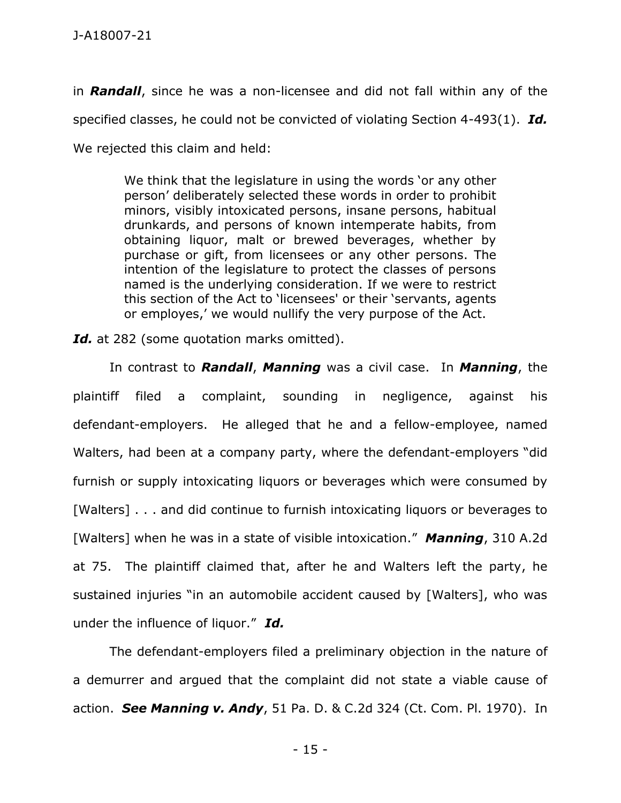in *Randall*, since he was a non-licensee and did not fall within any of the specified classes, he could not be convicted of violating Section 4-493(1). *Id.* We rejected this claim and held:

> We think that the legislature in using the words 'or any other person' deliberately selected these words in order to prohibit minors, visibly intoxicated persons, insane persons, habitual drunkards, and persons of known intemperate habits, from obtaining liquor, malt or brewed beverages, whether by purchase or gift, from licensees or any other persons. The intention of the legislature to protect the classes of persons named is the underlying consideration. If we were to restrict this section of the Act to 'licensees' or their 'servants, agents or employes,' we would nullify the very purpose of the Act.

Id. at 282 (some quotation marks omitted).

In contrast to *Randall*, *Manning* was a civil case. In *Manning*, the plaintiff filed a complaint, sounding in negligence, against his defendant-employers. He alleged that he and a fellow-employee, named Walters, had been at a company party, where the defendant-employers "did furnish or supply intoxicating liquors or beverages which were consumed by [Walters] . . . and did continue to furnish intoxicating liquors or beverages to [Walters] when he was in a state of visible intoxication." *Manning*, 310 A.2d at 75. The plaintiff claimed that, after he and Walters left the party, he sustained injuries "in an automobile accident caused by [Walters], who was under the influence of liquor." *Id.*

The defendant-employers filed a preliminary objection in the nature of a demurrer and argued that the complaint did not state a viable cause of action. *See Manning v. Andy*, 51 Pa. D. & C.2d 324 (Ct. Com. Pl. 1970). In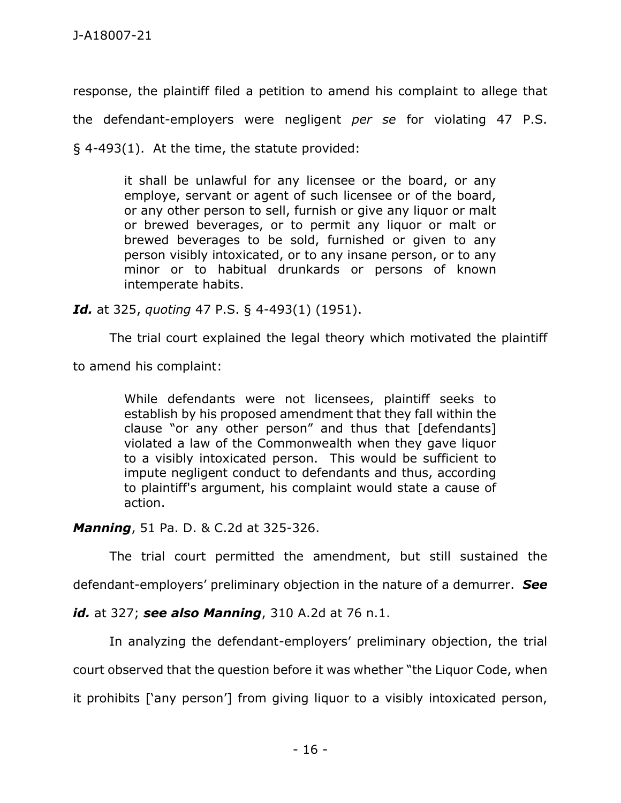response, the plaintiff filed a petition to amend his complaint to allege that the defendant-employers were negligent *per se* for violating 47 P.S. § 4-493(1). At the time, the statute provided:

> it shall be unlawful for any licensee or the board, or any employe, servant or agent of such licensee or of the board, or any other person to sell, furnish or give any liquor or malt or brewed beverages, or to permit any liquor or malt or brewed beverages to be sold, furnished or given to any person visibly intoxicated, or to any insane person, or to any minor or to habitual drunkards or persons of known intemperate habits.

*Id.* at 325, *quoting* 47 P.S. § 4-493(1) (1951).

The trial court explained the legal theory which motivated the plaintiff

to amend his complaint:

While defendants were not licensees, plaintiff seeks to establish by his proposed amendment that they fall within the clause "or any other person" and thus that [defendants] violated a law of the Commonwealth when they gave liquor to a visibly intoxicated person. This would be sufficient to impute negligent conduct to defendants and thus, according to plaintiff's argument, his complaint would state a cause of action.

*Manning*, 51 Pa. D. & C.2d at 325-326.

The trial court permitted the amendment, but still sustained the

defendant-employers' preliminary objection in the nature of a demurrer. *See* 

*id.* at 327; *see also Manning*, 310 A.2d at 76 n.1.

In analyzing the defendant-employers' preliminary objection, the trial

court observed that the question before it was whether "the Liquor Code, when

it prohibits ['any person'] from giving liquor to a visibly intoxicated person,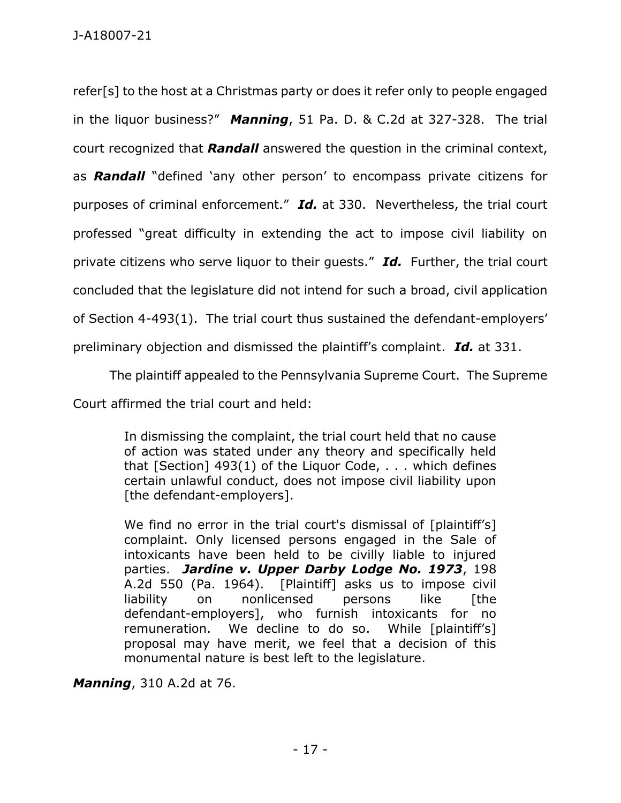refer[s] to the host at a Christmas party or does it refer only to people engaged in the liquor business?" *Manning*, 51 Pa. D. & C.2d at 327-328. The trial court recognized that *Randall* answered the question in the criminal context, as *Randall* "defined 'any other person' to encompass private citizens for purposes of criminal enforcement." *Id.* at 330. Nevertheless, the trial court professed "great difficulty in extending the act to impose civil liability on private citizens who serve liquor to their guests." *Id.* Further, the trial court concluded that the legislature did not intend for such a broad, civil application of Section 4-493(1). The trial court thus sustained the defendant-employers' preliminary objection and dismissed the plaintiff's complaint. *Id.* at 331.

The plaintiff appealed to the Pennsylvania Supreme Court. The Supreme

Court affirmed the trial court and held:

In dismissing the complaint, the trial court held that no cause of action was stated under any theory and specifically held that [Section] 493(1) of the Liquor Code, . . . which defines certain unlawful conduct, does not impose civil liability upon [the defendant-employers].

We find no error in the trial court's dismissal of [plaintiff's] complaint. Only licensed persons engaged in the Sale of intoxicants have been held to be civilly liable to injured parties. *Jardine v. Upper Darby Lodge No. 1973*, 198 A.2d 550 (Pa. 1964). [Plaintiff] asks us to impose civil liability on nonlicensed persons like [the defendant-employers], who furnish intoxicants for no remuneration. We decline to do so. While [plaintiff's] proposal may have merit, we feel that a decision of this monumental nature is best left to the legislature.

*Manning*, 310 A.2d at 76.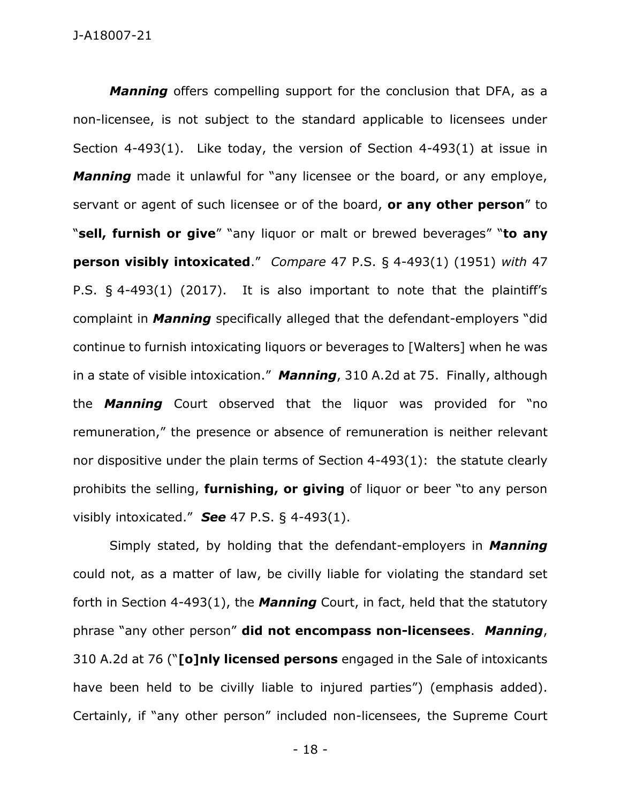*Manning* offers compelling support for the conclusion that DFA, as a non-licensee, is not subject to the standard applicable to licensees under Section 4-493(1). Like today, the version of Section 4-493(1) at issue in *Manning* made it unlawful for "any licensee or the board, or any employe, servant or agent of such licensee or of the board, **or any other person**" to "**sell, furnish or give**" "any liquor or malt or brewed beverages" "**to any person visibly intoxicated**." *Compare* 47 P.S. § 4-493(1) (1951) *with* 47 P.S. § 4-493(1) (2017). It is also important to note that the plaintiff's complaint in *Manning* specifically alleged that the defendant-employers "did continue to furnish intoxicating liquors or beverages to [Walters] when he was in a state of visible intoxication." *Manning*, 310 A.2d at 75. Finally, although the *Manning* Court observed that the liquor was provided for "no remuneration," the presence or absence of remuneration is neither relevant nor dispositive under the plain terms of Section 4-493(1): the statute clearly prohibits the selling, **furnishing, or giving** of liquor or beer "to any person visibly intoxicated." *See* 47 P.S. § 4-493(1).

Simply stated, by holding that the defendant-employers in *Manning* could not, as a matter of law, be civilly liable for violating the standard set forth in Section 4-493(1), the *Manning* Court, in fact, held that the statutory phrase "any other person" **did not encompass non-licensees**. *Manning*, 310 A.2d at 76 ("**[o]nly licensed persons** engaged in the Sale of intoxicants have been held to be civilly liable to injured parties") (emphasis added). Certainly, if "any other person" included non-licensees, the Supreme Court

- 18 -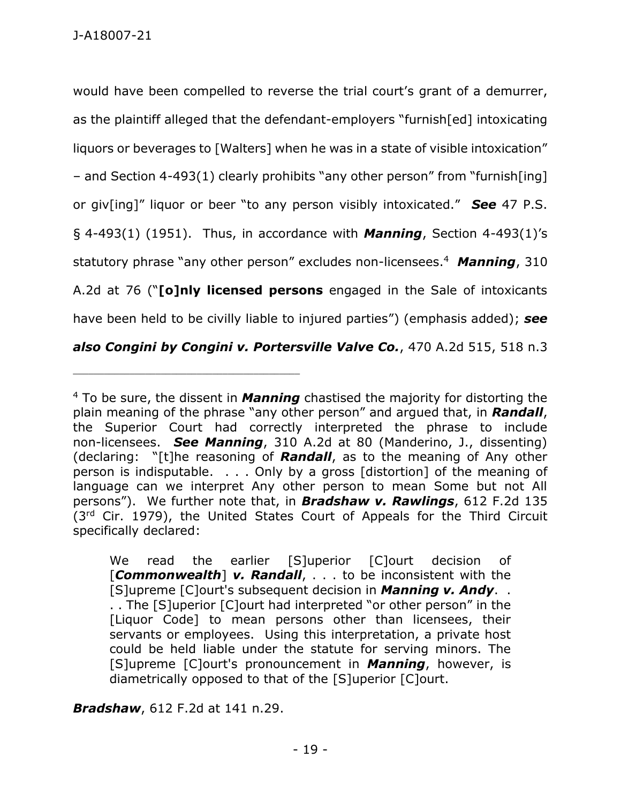would have been compelled to reverse the trial court's grant of a demurrer, as the plaintiff alleged that the defendant-employers "furnish[ed] intoxicating liquors or beverages to [Walters] when he was in a state of visible intoxication" – and Section 4-493(1) clearly prohibits "any other person" from "furnish[ing] or giv[ing]" liquor or beer "to any person visibly intoxicated." *See* 47 P.S. § 4-493(1) (1951). Thus, in accordance with *Manning*, Section 4-493(1)'s statutory phrase "any other person" excludes non-licensees. 4 *Manning*, 310 A.2d at 76 ("**[o]nly licensed persons** engaged in the Sale of intoxicants have been held to be civilly liable to injured parties") (emphasis added); *see also Congini by Congini v. Portersville Valve Co.*, 470 A.2d 515, 518 n.3

*Bradshaw*, 612 F.2d at 141 n.29.

\_\_\_\_\_\_\_\_\_\_\_\_\_\_\_\_\_\_\_\_\_\_\_\_\_\_\_\_\_\_\_\_\_\_\_\_\_\_\_\_\_\_\_\_

<sup>4</sup> To be sure, the dissent in *Manning* chastised the majority for distorting the plain meaning of the phrase "any other person" and argued that, in *Randall*, the Superior Court had correctly interpreted the phrase to include non-licensees. *See Manning*, 310 A.2d at 80 (Manderino, J., dissenting) (declaring: "[t]he reasoning of *Randall*, as to the meaning of Any other person is indisputable. . . . Only by a gross [distortion] of the meaning of language can we interpret Any other person to mean Some but not All persons"). We further note that, in *Bradshaw v. Rawlings*, 612 F.2d 135 (3<sup>rd</sup> Cir. 1979), the United States Court of Appeals for the Third Circuit specifically declared:

We read the earlier [S]uperior [C]ourt decision of [*Commonwealth*] *v. Randall*, . . . to be inconsistent with the [S]upreme [C]ourt's subsequent decision in *Manning v. Andy*. . . . The [S]uperior [C]ourt had interpreted "or other person" in the [Liquor Code] to mean persons other than licensees, their servants or employees. Using this interpretation, a private host could be held liable under the statute for serving minors. The [S]upreme [C]ourt's pronouncement in *Manning*, however, is diametrically opposed to that of the [S]uperior [C]ourt.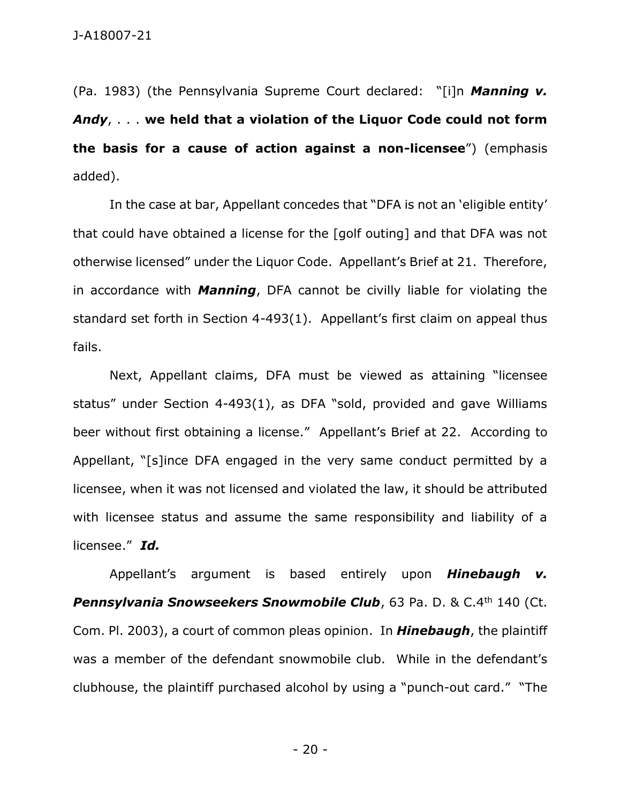(Pa. 1983) (the Pennsylvania Supreme Court declared: "[i]n *Manning v. Andy*, . . . **we held that a violation of the Liquor Code could not form the basis for a cause of action against a non-licensee**") (emphasis added).

In the case at bar, Appellant concedes that "DFA is not an 'eligible entity' that could have obtained a license for the [golf outing] and that DFA was not otherwise licensed" under the Liquor Code. Appellant's Brief at 21. Therefore, in accordance with *Manning*, DFA cannot be civilly liable for violating the standard set forth in Section 4-493(1). Appellant's first claim on appeal thus fails.

Next, Appellant claims, DFA must be viewed as attaining "licensee status" under Section 4-493(1), as DFA "sold, provided and gave Williams beer without first obtaining a license." Appellant's Brief at 22. According to Appellant, "[s]ince DFA engaged in the very same conduct permitted by a licensee, when it was not licensed and violated the law, it should be attributed with licensee status and assume the same responsibility and liability of a licensee." *Id.*

Appellant's argument is based entirely upon *Hinebaugh v.*  **Pennsylvania Snowseekers Snowmobile Club**, 63 Pa. D. & C.4<sup>th</sup> 140 (Ct. Com. Pl. 2003), a court of common pleas opinion. In *Hinebaugh*, the plaintiff was a member of the defendant snowmobile club. While in the defendant's clubhouse, the plaintiff purchased alcohol by using a "punch-out card." "The

- 20 -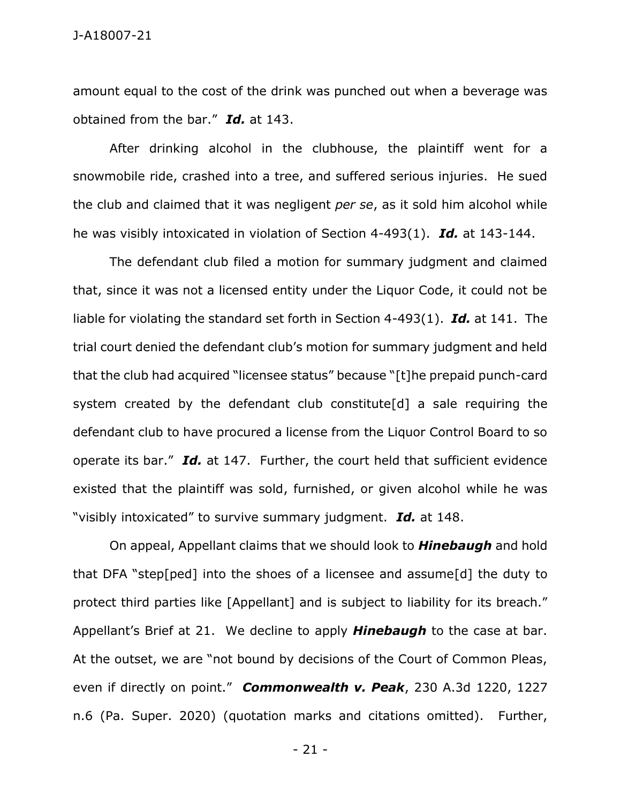amount equal to the cost of the drink was punched out when a beverage was obtained from the bar." *Id.* at 143.

After drinking alcohol in the clubhouse, the plaintiff went for a snowmobile ride, crashed into a tree, and suffered serious injuries. He sued the club and claimed that it was negligent *per se*, as it sold him alcohol while he was visibly intoxicated in violation of Section 4-493(1). *Id.* at 143-144.

The defendant club filed a motion for summary judgment and claimed that, since it was not a licensed entity under the Liquor Code, it could not be liable for violating the standard set forth in Section 4-493(1). *Id.* at 141. The trial court denied the defendant club's motion for summary judgment and held that the club had acquired "licensee status" because "[t]he prepaid punch-card system created by the defendant club constitute[d] a sale requiring the defendant club to have procured a license from the Liquor Control Board to so operate its bar." *Id.* at 147. Further, the court held that sufficient evidence existed that the plaintiff was sold, furnished, or given alcohol while he was "visibly intoxicated" to survive summary judgment. *Id.* at 148.

On appeal, Appellant claims that we should look to *Hinebaugh* and hold that DFA "step[ped] into the shoes of a licensee and assume[d] the duty to protect third parties like [Appellant] and is subject to liability for its breach." Appellant's Brief at 21. We decline to apply *Hinebaugh* to the case at bar. At the outset, we are "not bound by decisions of the Court of Common Pleas, even if directly on point." *Commonwealth v. Peak*, 230 A.3d 1220, 1227 n.6 (Pa. Super. 2020) (quotation marks and citations omitted). Further,

- 21 -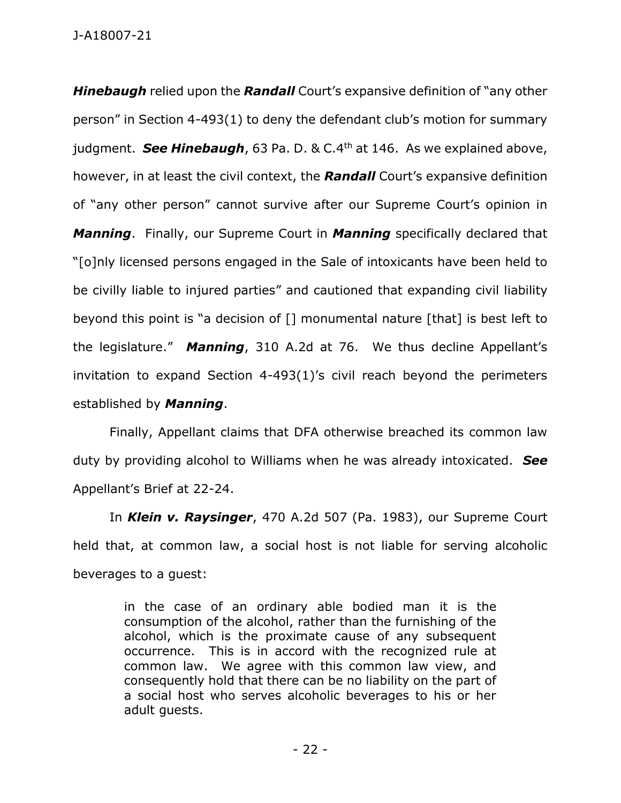J-A18007-21

*Hinebaugh* relied upon the *Randall* Court's expansive definition of "any other person" in Section 4-493(1) to deny the defendant club's motion for summary judgment. **See Hinebaugh**, 63 Pa. D. & C.4<sup>th</sup> at 146. As we explained above, however, in at least the civil context, the *Randall* Court's expansive definition of "any other person" cannot survive after our Supreme Court's opinion in *Manning*. Finally, our Supreme Court in *Manning* specifically declared that "[o]nly licensed persons engaged in the Sale of intoxicants have been held to be civilly liable to injured parties" and cautioned that expanding civil liability beyond this point is "a decision of [] monumental nature [that] is best left to the legislature." *Manning*, 310 A.2d at 76. We thus decline Appellant's invitation to expand Section 4-493(1)'s civil reach beyond the perimeters established by *Manning*.

Finally, Appellant claims that DFA otherwise breached its common law duty by providing alcohol to Williams when he was already intoxicated. *See*  Appellant's Brief at 22-24.

In *Klein v. Raysinger*, 470 A.2d 507 (Pa. 1983), our Supreme Court held that, at common law, a social host is not liable for serving alcoholic beverages to a guest:

> in the case of an ordinary able bodied man it is the consumption of the alcohol, rather than the furnishing of the alcohol, which is the proximate cause of any subsequent occurrence. This is in accord with the recognized rule at common law. We agree with this common law view, and consequently hold that there can be no liability on the part of a social host who serves alcoholic beverages to his or her adult guests.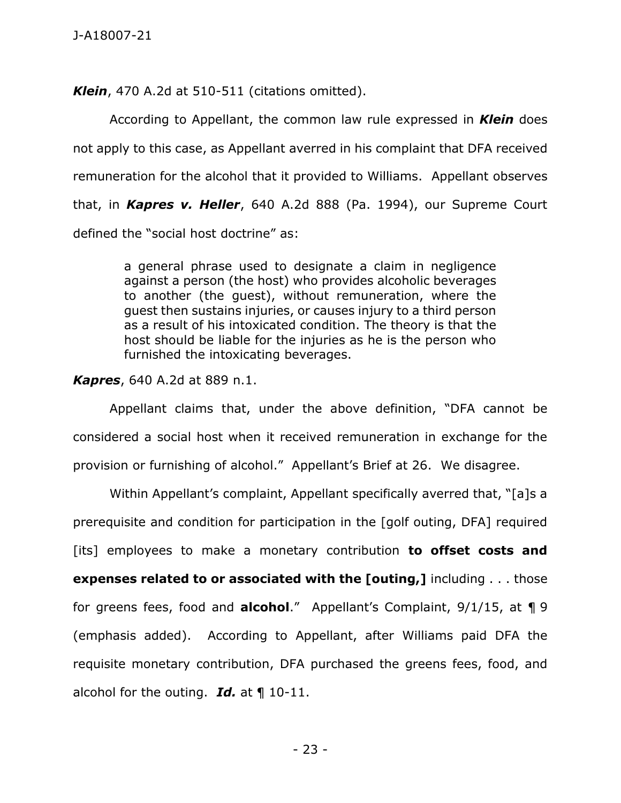*Klein*, 470 A.2d at 510-511 (citations omitted).

According to Appellant, the common law rule expressed in *Klein* does not apply to this case, as Appellant averred in his complaint that DFA received remuneration for the alcohol that it provided to Williams. Appellant observes that, in *Kapres v. Heller*, 640 A.2d 888 (Pa. 1994), our Supreme Court defined the "social host doctrine" as:

> a general phrase used to designate a claim in negligence against a person (the host) who provides alcoholic beverages to another (the guest), without remuneration, where the guest then sustains injuries, or causes injury to a third person as a result of his intoxicated condition. The theory is that the host should be liable for the injuries as he is the person who furnished the intoxicating beverages.

*Kapres*, 640 A.2d at 889 n.1.

Appellant claims that, under the above definition, "DFA cannot be considered a social host when it received remuneration in exchange for the provision or furnishing of alcohol." Appellant's Brief at 26. We disagree.

Within Appellant's complaint, Appellant specifically averred that, "[a]s a prerequisite and condition for participation in the [golf outing, DFA] required [its] employees to make a monetary contribution **to offset costs and expenses related to or associated with the [outing,]** including . . . those for greens fees, food and **alcohol**." Appellant's Complaint, 9/1/15, at ¶ 9 (emphasis added). According to Appellant, after Williams paid DFA the requisite monetary contribution, DFA purchased the greens fees, food, and alcohol for the outing. *Id.* at ¶ 10-11.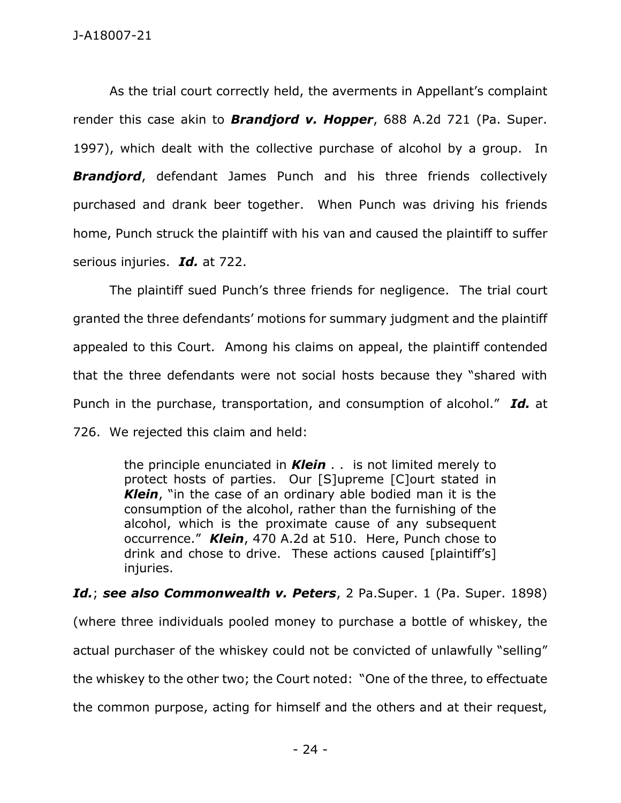As the trial court correctly held, the averments in Appellant's complaint render this case akin to *Brandjord v. Hopper*, 688 A.2d 721 (Pa. Super. 1997), which dealt with the collective purchase of alcohol by a group. In **Brandjord**, defendant James Punch and his three friends collectively purchased and drank beer together. When Punch was driving his friends home, Punch struck the plaintiff with his van and caused the plaintiff to suffer serious injuries. *Id.* at 722.

The plaintiff sued Punch's three friends for negligence. The trial court granted the three defendants' motions for summary judgment and the plaintiff appealed to this Court. Among his claims on appeal, the plaintiff contended that the three defendants were not social hosts because they "shared with Punch in the purchase, transportation, and consumption of alcohol." *Id.* at 726. We rejected this claim and held:

> the principle enunciated in *Klein* . . is not limited merely to protect hosts of parties. Our [S]upreme [C]ourt stated in *Klein*, "in the case of an ordinary able bodied man it is the consumption of the alcohol, rather than the furnishing of the alcohol, which is the proximate cause of any subsequent occurrence." *Klein*, 470 A.2d at 510. Here, Punch chose to drink and chose to drive. These actions caused [plaintiff's] injuries.

Id.; see also Commonwealth v. Peters, 2 Pa. Super. 1 (Pa. Super. 1898) (where three individuals pooled money to purchase a bottle of whiskey, the actual purchaser of the whiskey could not be convicted of unlawfully "selling" the whiskey to the other two; the Court noted: "One of the three, to effectuate the common purpose, acting for himself and the others and at their request,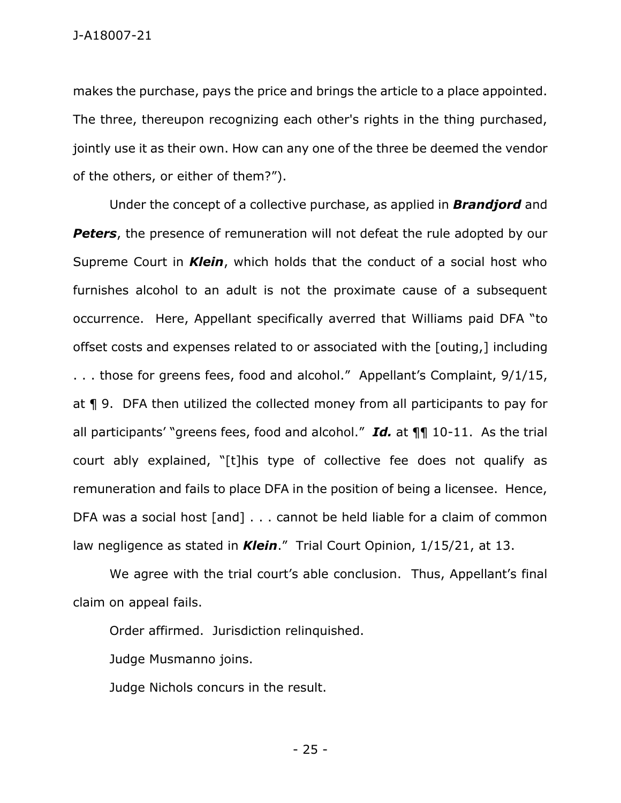J-A18007-21

makes the purchase, pays the price and brings the article to a place appointed. The three, thereupon recognizing each other's rights in the thing purchased, jointly use it as their own. How can any one of the three be deemed the vendor of the others, or either of them?").

Under the concept of a collective purchase, as applied in *Brandjord* and **Peters**, the presence of remuneration will not defeat the rule adopted by our Supreme Court in *Klein*, which holds that the conduct of a social host who furnishes alcohol to an adult is not the proximate cause of a subsequent occurrence. Here, Appellant specifically averred that Williams paid DFA "to offset costs and expenses related to or associated with the [outing,] including . . . those for greens fees, food and alcohol." Appellant's Complaint, 9/1/15, at ¶ 9. DFA then utilized the collected money from all participants to pay for all participants' "greens fees, food and alcohol." *Id.* at ¶¶ 10-11. As the trial court ably explained, "[t]his type of collective fee does not qualify as remuneration and fails to place DFA in the position of being a licensee. Hence, DFA was a social host [and] . . . cannot be held liable for a claim of common law negligence as stated in *Klein*." Trial Court Opinion, 1/15/21, at 13.

We agree with the trial court's able conclusion. Thus, Appellant's final claim on appeal fails.

Order affirmed. Jurisdiction relinquished.

Judge Musmanno joins.

Judge Nichols concurs in the result.